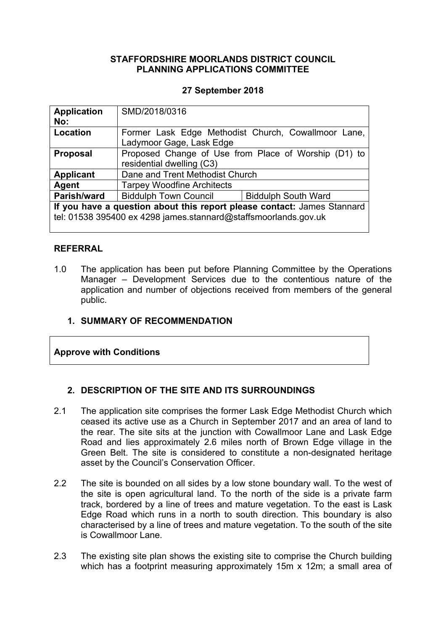## **STAFFORDSHIRE MOORLANDS DISTRICT COUNCIL PLANNING APPLICATIONS COMMITTEE**

## **27 September 2018**

| <b>Application</b><br>No:                                                                                                                  | SMD/2018/0316                                                                     |                            |  |  |
|--------------------------------------------------------------------------------------------------------------------------------------------|-----------------------------------------------------------------------------------|----------------------------|--|--|
| Location                                                                                                                                   | Former Lask Edge Methodist Church, Cowallmoor Lane,<br>Ladymoor Gage, Lask Edge   |                            |  |  |
| <b>Proposal</b>                                                                                                                            | Proposed Change of Use from Place of Worship (D1) to<br>residential dwelling (C3) |                            |  |  |
| <b>Applicant</b>                                                                                                                           | Dane and Trent Methodist Church                                                   |                            |  |  |
| Agent                                                                                                                                      | <b>Tarpey Woodfine Architects</b>                                                 |                            |  |  |
| Parish/ward                                                                                                                                | <b>Biddulph Town Council</b>                                                      | <b>Biddulph South Ward</b> |  |  |
| If you have a question about this report please contact: James Stannard<br>tel: 01538 395400 ex 4298 james.stannard@staffsmoorlands.gov.uk |                                                                                   |                            |  |  |

## **REFERRAL**

1.0 The application has been put before Planning Committee by the Operations Manager – Development Services due to the contentious nature of the application and number of objections received from members of the general public.

## **1. SUMMARY OF RECOMMENDATION**

## **Approve with Conditions**

## **2. DESCRIPTION OF THE SITE AND ITS SURROUNDINGS**

- 2.1 The application site comprises the former Lask Edge Methodist Church which ceased its active use as a Church in September 2017 and an area of land to the rear. The site sits at the junction with Cowallmoor Lane and Lask Edge Road and lies approximately 2.6 miles north of Brown Edge village in the Green Belt. The site is considered to constitute a non-designated heritage asset by the Council's Conservation Officer.
- 2.2 The site is bounded on all sides by a low stone boundary wall. To the west of the site is open agricultural land. To the north of the side is a private farm track, bordered by a line of trees and mature vegetation. To the east is Lask Edge Road which runs in a north to south direction. This boundary is also characterised by a line of trees and mature vegetation. To the south of the site is Cowallmoor Lane.
- 2.3 The existing site plan shows the existing site to comprise the Church building which has a footprint measuring approximately 15m x 12m; a small area of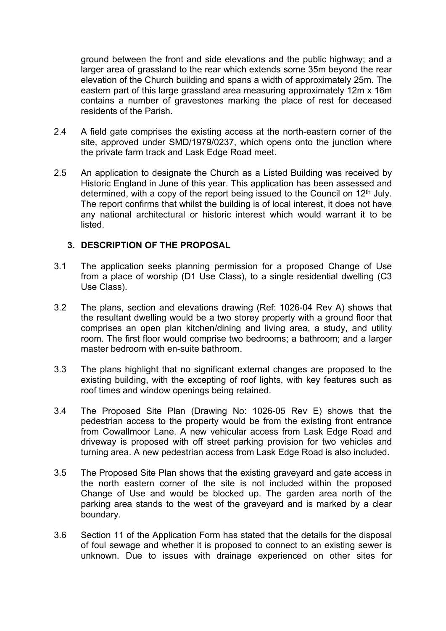ground between the front and side elevations and the public highway; and a larger area of grassland to the rear which extends some 35m beyond the rear elevation of the Church building and spans a width of approximately 25m. The eastern part of this large grassland area measuring approximately 12m x 16m contains a number of gravestones marking the place of rest for deceased residents of the Parish.

- 2.4 A field gate comprises the existing access at the north-eastern corner of the site, approved under SMD/1979/0237, which opens onto the junction where the private farm track and Lask Edge Road meet.
- 2.5 An application to designate the Church as a Listed Building was received by Historic England in June of this year. This application has been assessed and determined, with a copy of the report being issued to the Council on 12th July. The report confirms that whilst the building is of local interest, it does not have any national architectural or historic interest which would warrant it to be listed.

## **3. DESCRIPTION OF THE PROPOSAL**

- 3.1 The application seeks planning permission for a proposed Change of Use from a place of worship (D1 Use Class), to a single residential dwelling (C3 Use Class).
- 3.2 The plans, section and elevations drawing (Ref: 1026-04 Rev A) shows that the resultant dwelling would be a two storey property with a ground floor that comprises an open plan kitchen/dining and living area, a study, and utility room. The first floor would comprise two bedrooms; a bathroom; and a larger master bedroom with en-suite bathroom.
- 3.3 The plans highlight that no significant external changes are proposed to the existing building, with the excepting of roof lights, with key features such as roof times and window openings being retained.
- 3.4 The Proposed Site Plan (Drawing No: 1026-05 Rev E) shows that the pedestrian access to the property would be from the existing front entrance from Cowallmoor Lane. A new vehicular access from Lask Edge Road and driveway is proposed with off street parking provision for two vehicles and turning area. A new pedestrian access from Lask Edge Road is also included.
- 3.5 The Proposed Site Plan shows that the existing graveyard and gate access in the north eastern corner of the site is not included within the proposed Change of Use and would be blocked up. The garden area north of the parking area stands to the west of the graveyard and is marked by a clear boundary.
- 3.6 Section 11 of the Application Form has stated that the details for the disposal of foul sewage and whether it is proposed to connect to an existing sewer is unknown. Due to issues with drainage experienced on other sites for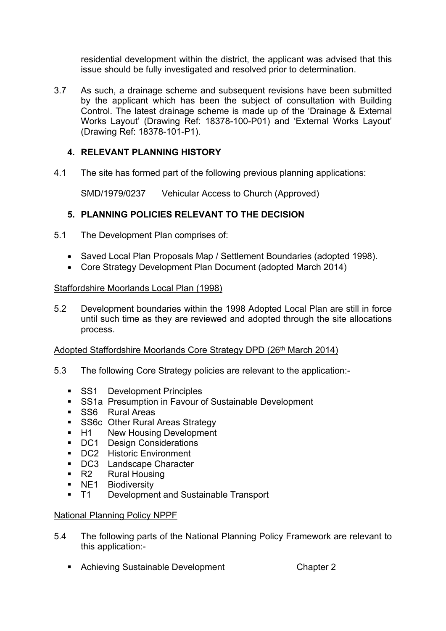residential development within the district, the applicant was advised that this issue should be fully investigated and resolved prior to determination.

3.7 As such, a drainage scheme and subsequent revisions have been submitted by the applicant which has been the subject of consultation with Building Control. The latest drainage scheme is made up of the 'Drainage & External Works Layout' (Drawing Ref: 18378-100-P01) and 'External Works Layout' (Drawing Ref: 18378-101-P1).

# **4. RELEVANT PLANNING HISTORY**

4.1 The site has formed part of the following previous planning applications:

SMD/1979/0237 Vehicular Access to Church (Approved)

# **5. PLANNING POLICIES RELEVANT TO THE DECISION**

- 5.1 The Development Plan comprises of:
	- Saved Local Plan Proposals Map / Settlement Boundaries (adopted 1998).
	- Core Strategy Development Plan Document (adopted March 2014)

## Staffordshire Moorlands Local Plan (1998)

5.2 Development boundaries within the 1998 Adopted Local Plan are still in force until such time as they are reviewed and adopted through the site allocations process.

## Adopted Staffordshire Moorlands Core Strategy DPD (26<sup>th</sup> March 2014)

- 5.3 The following Core Strategy policies are relevant to the application:-
	- **SS1** Development Principles
	- **SS1a Presumption in Favour of Sustainable Development**
	- **SS6** Rural Areas
	- **SS6c Other Rural Areas Strategy**
	- H1 New Housing Development
	- DC1 Design Considerations
	- **DC2** Historic Environment
	- DC3 Landscape Character
	- R2 Rural Housing
	- **NE1** Biodiversity
	- **T1** Development and Sustainable Transport

## National Planning Policy NPPF

- 5.4 The following parts of the National Planning Policy Framework are relevant to this application:-
	- Achieving Sustainable Development Chapter 2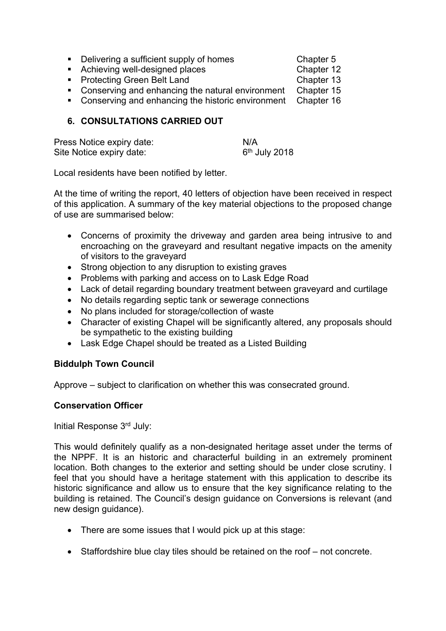|  |  | Delivering a sufficient supply of homes |  |
|--|--|-----------------------------------------|--|
|--|--|-----------------------------------------|--|

- Achieving well-designed places Chapter 12
- Protecting Green Belt Land Chapter 13

Chapter 5

- Conserving and enhancing the natural environment Chapter 15
- Conserving and enhancing the historic environment Chapter 16

# **6. CONSULTATIONS CARRIED OUT**

| Press Notice expiry date: | N/A             |
|---------------------------|-----------------|
| Site Notice expiry date:  | $6th$ July 2018 |

Local residents have been notified by letter.

At the time of writing the report, 40 letters of objection have been received in respect of this application. A summary of the key material objections to the proposed change of use are summarised below:

- Concerns of proximity the driveway and garden area being intrusive to and encroaching on the graveyard and resultant negative impacts on the amenity of visitors to the graveyard
- Strong objection to any disruption to existing graves
- Problems with parking and access on to Lask Edge Road
- Lack of detail regarding boundary treatment between graveyard and curtilage
- No details regarding septic tank or sewerage connections
- No plans included for storage/collection of waste
- Character of existing Chapel will be significantly altered, any proposals should be sympathetic to the existing building
- Lask Edge Chapel should be treated as a Listed Building

# **Biddulph Town Council**

Approve – subject to clarification on whether this was consecrated ground.

# **Conservation Officer**

Initial Response 3rd July:

This would definitely qualify as a non-designated heritage asset under the terms of the NPPF. It is an historic and characterful building in an extremely prominent location. Both changes to the exterior and setting should be under close scrutiny. I feel that you should have a heritage statement with this application to describe its historic significance and allow us to ensure that the key significance relating to the building is retained. The Council's design guidance on Conversions is relevant (and new design guidance).

- There are some issues that I would pick up at this stage:
- Staffordshire blue clay tiles should be retained on the roof not concrete.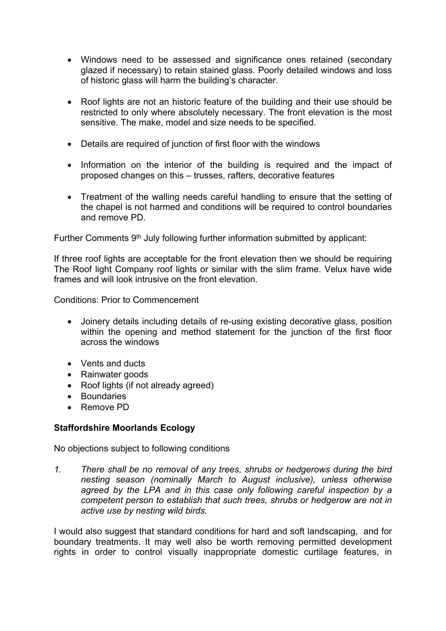- Windows need to be assessed and significance ones retained (secondary glazed if necessary) to retain stained glass. Poorly detailed windows and loss of historic glass will harm the building's character.
- Roof lights are not an historic feature of the building and their use should be restricted to only where absolutely necessary. The front elevation is the most sensitive. The make, model and size needs to be specified.
- Details are required of junction of first floor with the windows
- Information on the interior of the building is required and the impact of proposed changes on this – trusses, rafters, decorative features
- Treatment of the walling needs careful handling to ensure that the setting of the chapel is not harmed and conditions will be required to control boundaries and remove PD.

Further Comments 9<sup>th</sup> July following further information submitted by applicant:

If three roof lights are acceptable for the front elevation then we should be requiring The Roof light Company roof lights or similar with the slim frame. Velux have wide frames and will look intrusive on the front elevation.

Conditions: Prior to Commencement

- Joinery details including details of re-using existing decorative glass, position within the opening and method statement for the junction of the first floor across the windows
- Vents and ducts
- Rainwater goods
- Roof lights (if not already agreed)
- Boundaries
- Remove PD

## **Staffordshire Moorlands Ecology**

No objections subject to following conditions

*1. There shall be no removal of any trees, shrubs or hedgerows during the bird nesting season (nominally March to August inclusive), unless otherwise agreed by the LPA and in this case only following careful inspection by a competent person to establish that such trees, shrubs or hedgerow are not in active use by nesting wild birds.*

I would also suggest that standard conditions for hard and soft landscaping, and for boundary treatments. It may well also be worth removing permitted development rights in order to control visually inappropriate domestic curtilage features, in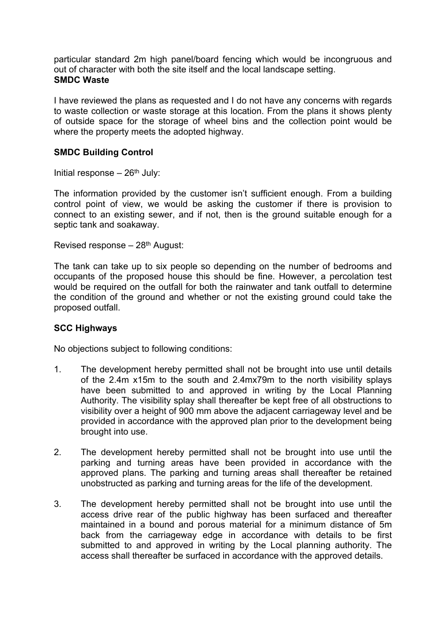particular standard 2m high panel/board fencing which would be incongruous and out of character with both the site itself and the local landscape setting. **SMDC Waste**

I have reviewed the plans as requested and I do not have any concerns with regards to waste collection or waste storage at this location. From the plans it shows plenty of outside space for the storage of wheel bins and the collection point would be where the property meets the adopted highway.

## **SMDC Building Control**

Initial response  $-26<sup>th</sup>$  July:

The information provided by the customer isn't sufficient enough. From a building control point of view, we would be asking the customer if there is provision to connect to an existing sewer, and if not, then is the ground suitable enough for a septic tank and soakaway.

Revised response – 28th August:

The tank can take up to six people so depending on the number of bedrooms and occupants of the proposed house this should be fine. However, a percolation test would be required on the outfall for both the rainwater and tank outfall to determine the condition of the ground and whether or not the existing ground could take the proposed outfall.

## **SCC Highways**

No objections subject to following conditions:

- 1. The development hereby permitted shall not be brought into use until details of the 2.4m x15m to the south and 2.4mx79m to the north visibility splays have been submitted to and approved in writing by the Local Planning Authority. The visibility splay shall thereafter be kept free of all obstructions to visibility over a height of 900 mm above the adjacent carriageway level and be provided in accordance with the approved plan prior to the development being brought into use.
- 2. The development hereby permitted shall not be brought into use until the parking and turning areas have been provided in accordance with the approved plans. The parking and turning areas shall thereafter be retained unobstructed as parking and turning areas for the life of the development.
- 3. The development hereby permitted shall not be brought into use until the access drive rear of the public highway has been surfaced and thereafter maintained in a bound and porous material for a minimum distance of 5m back from the carriageway edge in accordance with details to be first submitted to and approved in writing by the Local planning authority. The access shall thereafter be surfaced in accordance with the approved details.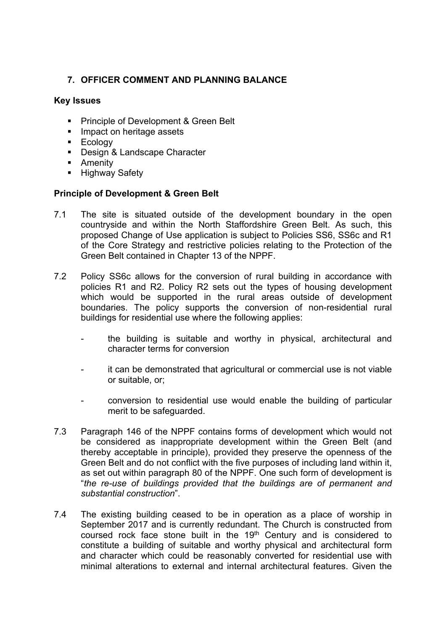# **7. OFFICER COMMENT AND PLANNING BALANCE**

## **Key Issues**

- **Principle of Development & Green Belt**
- **Impact on heritage assets**
- **Ecology**
- Design & Landscape Character
- **-** Amenity
- **Highway Safety**

## **Principle of Development & Green Belt**

- 7.1 The site is situated outside of the development boundary in the open countryside and within the North Staffordshire Green Belt. As such, this proposed Change of Use application is subject to Policies SS6, SS6c and R1 of the Core Strategy and restrictive policies relating to the Protection of the Green Belt contained in Chapter 13 of the NPPF.
- 7.2 Policy SS6c allows for the conversion of rural building in accordance with policies R1 and R2. Policy R2 sets out the types of housing development which would be supported in the rural areas outside of development boundaries. The policy supports the conversion of non-residential rural buildings for residential use where the following applies:
	- the building is suitable and worthy in physical, architectural and character terms for conversion
	- it can be demonstrated that agricultural or commercial use is not viable or suitable, or;
	- conversion to residential use would enable the building of particular merit to be safeguarded.
- 7.3 Paragraph 146 of the NPPF contains forms of development which would not be considered as inappropriate development within the Green Belt (and thereby acceptable in principle), provided they preserve the openness of the Green Belt and do not conflict with the five purposes of including land within it, as set out within paragraph 80 of the NPPF. One such form of development is "*the re-use of buildings provided that the buildings are of permanent and substantial construction*".
- 7.4 The existing building ceased to be in operation as a place of worship in September 2017 and is currently redundant. The Church is constructed from coursed rock face stone built in the 19<sup>th</sup> Century and is considered to constitute a building of suitable and worthy physical and architectural form and character which could be reasonably converted for residential use with minimal alterations to external and internal architectural features. Given the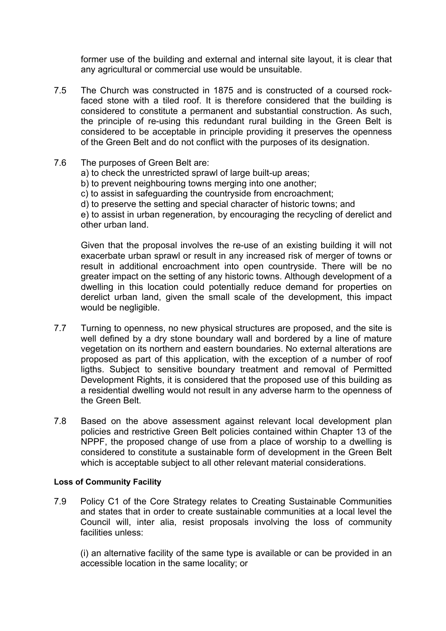former use of the building and external and internal site layout, it is clear that any agricultural or commercial use would be unsuitable.

- 7.5 The Church was constructed in 1875 and is constructed of a coursed rockfaced stone with a tiled roof. It is therefore considered that the building is considered to constitute a permanent and substantial construction. As such, the principle of re-using this redundant rural building in the Green Belt is considered to be acceptable in principle providing it preserves the openness of the Green Belt and do not conflict with the purposes of its designation.
- 7.6 The purposes of Green Belt are:
	- a) to check the unrestricted sprawl of large built-up areas;
	- b) to prevent neighbouring towns merging into one another;
	- c) to assist in safeguarding the countryside from encroachment;
	- d) to preserve the setting and special character of historic towns; and

e) to assist in urban regeneration, by encouraging the recycling of derelict and other urban land.

Given that the proposal involves the re-use of an existing building it will not exacerbate urban sprawl or result in any increased risk of merger of towns or result in additional encroachment into open countryside. There will be no greater impact on the setting of any historic towns. Although development of a dwelling in this location could potentially reduce demand for properties on derelict urban land, given the small scale of the development, this impact would be negligible.

- 7.7 Turning to openness, no new physical structures are proposed, and the site is well defined by a dry stone boundary wall and bordered by a line of mature vegetation on its northern and eastern boundaries. No external alterations are proposed as part of this application, with the exception of a number of roof ligths. Subject to sensitive boundary treatment and removal of Permitted Development Rights, it is considered that the proposed use of this building as a residential dwelling would not result in any adverse harm to the openness of the Green Belt.
- 7.8 Based on the above assessment against relevant local development plan policies and restrictive Green Belt policies contained within Chapter 13 of the NPPF, the proposed change of use from a place of worship to a dwelling is considered to constitute a sustainable form of development in the Green Belt which is acceptable subject to all other relevant material considerations.

#### **Loss of Community Facility**

7.9 Policy C1 of the Core Strategy relates to Creating Sustainable Communities and states that in order to create sustainable communities at a local level the Council will, inter alia, resist proposals involving the loss of community facilities unless:

(i) an alternative facility of the same type is available or can be provided in an accessible location in the same locality; or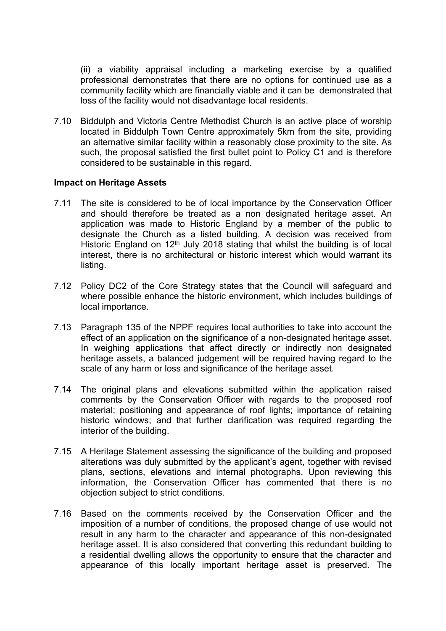(ii) a viability appraisal including a marketing exercise by a qualified professional demonstrates that there are no options for continued use as a community facility which are financially viable and it can be demonstrated that loss of the facility would not disadvantage local residents.

7.10 Biddulph and Victoria Centre Methodist Church is an active place of worship located in Biddulph Town Centre approximately 5km from the site, providing an alternative similar facility within a reasonably close proximity to the site. As such, the proposal satisfied the first bullet point to Policy C1 and is therefore considered to be sustainable in this regard.

#### **Impact on Heritage Assets**

- 7.11 The site is considered to be of local importance by the Conservation Officer and should therefore be treated as a non designated heritage asset. An application was made to Historic England by a member of the public to designate the Church as a listed building. A decision was received from Historic England on  $12<sup>th</sup>$  July 2018 stating that whilst the building is of local interest, there is no architectural or historic interest which would warrant its listing.
- 7.12 Policy DC2 of the Core Strategy states that the Council will safeguard and where possible enhance the historic environment, which includes buildings of local importance.
- 7.13 Paragraph 135 of the NPPF requires local authorities to take into account the effect of an application on the significance of a non-designated heritage asset. In weighing applications that affect directly or indirectly non designated heritage assets, a balanced judgement will be required having regard to the scale of any harm or loss and significance of the heritage asset.
- 7.14 The original plans and elevations submitted within the application raised comments by the Conservation Officer with regards to the proposed roof material; positioning and appearance of roof lights; importance of retaining historic windows; and that further clarification was required regarding the interior of the building.
- 7.15 A Heritage Statement assessing the significance of the building and proposed alterations was duly submitted by the applicant's agent, together with revised plans, sections, elevations and internal photographs. Upon reviewing this information, the Conservation Officer has commented that there is no objection subject to strict conditions.
- 7.16 Based on the comments received by the Conservation Officer and the imposition of a number of conditions, the proposed change of use would not result in any harm to the character and appearance of this non-designated heritage asset. It is also considered that converting this redundant building to a residential dwelling allows the opportunity to ensure that the character and appearance of this locally important heritage asset is preserved. The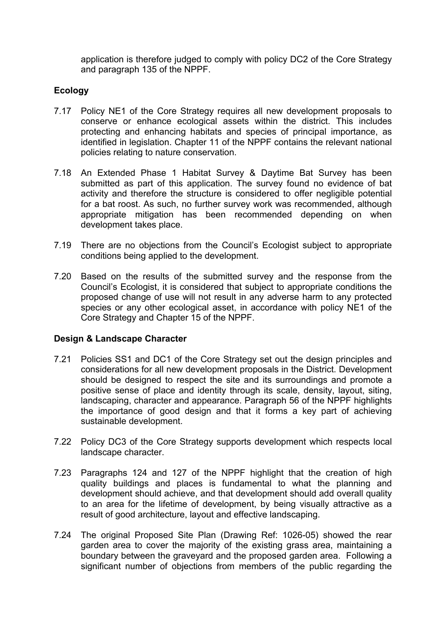application is therefore judged to comply with policy DC2 of the Core Strategy and paragraph 135 of the NPPF.

# **Ecology**

- 7.17 Policy NE1 of the Core Strategy requires all new development proposals to conserve or enhance ecological assets within the district. This includes protecting and enhancing habitats and species of principal importance, as identified in legislation. Chapter 11 of the NPPF contains the relevant national policies relating to nature conservation.
- 7.18 An Extended Phase 1 Habitat Survey & Daytime Bat Survey has been submitted as part of this application. The survey found no evidence of bat activity and therefore the structure is considered to offer negligible potential for a bat roost. As such, no further survey work was recommended, although appropriate mitigation has been recommended depending on when development takes place.
- 7.19 There are no objections from the Council's Ecologist subject to appropriate conditions being applied to the development.
- 7.20 Based on the results of the submitted survey and the response from the Council's Ecologist, it is considered that subject to appropriate conditions the proposed change of use will not result in any adverse harm to any protected species or any other ecological asset, in accordance with policy NE1 of the Core Strategy and Chapter 15 of the NPPF.

# **Design & Landscape Character**

- 7.21 Policies SS1 and DC1 of the Core Strategy set out the design principles and considerations for all new development proposals in the District. Development should be designed to respect the site and its surroundings and promote a positive sense of place and identity through its scale, density, layout, siting, landscaping, character and appearance. Paragraph 56 of the NPPF highlights the importance of good design and that it forms a key part of achieving sustainable development.
- 7.22 Policy DC3 of the Core Strategy supports development which respects local landscape character.
- 7.23 Paragraphs 124 and 127 of the NPPF highlight that the creation of high quality buildings and places is fundamental to what the planning and development should achieve, and that development should add overall quality to an area for the lifetime of development, by being visually attractive as a result of good architecture, layout and effective landscaping.
- 7.24 The original Proposed Site Plan (Drawing Ref: 1026-05) showed the rear garden area to cover the majority of the existing grass area, maintaining a boundary between the graveyard and the proposed garden area. Following a significant number of objections from members of the public regarding the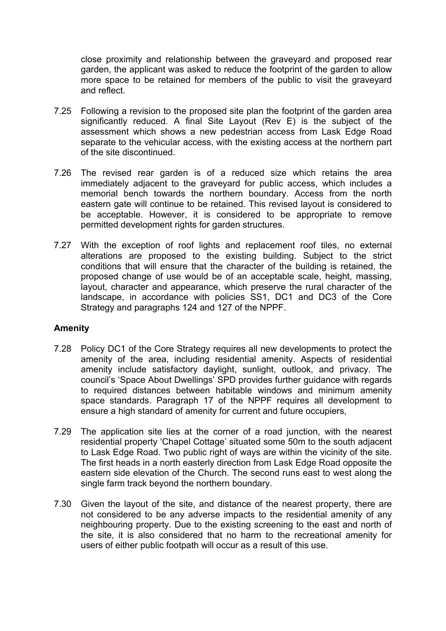close proximity and relationship between the graveyard and proposed rear garden, the applicant was asked to reduce the footprint of the garden to allow more space to be retained for members of the public to visit the graveyard and reflect.

- 7.25 Following a revision to the proposed site plan the footprint of the garden area significantly reduced. A final Site Layout (Rev E) is the subject of the assessment which shows a new pedestrian access from Lask Edge Road separate to the vehicular access, with the existing access at the northern part of the site discontinued.
- 7.26 The revised rear garden is of a reduced size which retains the area immediately adjacent to the graveyard for public access, which includes a memorial bench towards the northern boundary. Access from the north eastern gate will continue to be retained. This revised layout is considered to be acceptable. However, it is considered to be appropriate to remove permitted development rights for garden structures.
- 7.27 With the exception of roof lights and replacement roof tiles, no external alterations are proposed to the existing building. Subject to the strict conditions that will ensure that the character of the building is retained, the proposed change of use would be of an acceptable scale, height, massing, layout, character and appearance, which preserve the rural character of the landscape, in accordance with policies SS1, DC1 and DC3 of the Core Strategy and paragraphs 124 and 127 of the NPPF.

## **Amenity**

- 7.28 Policy DC1 of the Core Strategy requires all new developments to protect the amenity of the area, including residential amenity. Aspects of residential amenity include satisfactory daylight, sunlight, outlook, and privacy. The council's 'Space About Dwellings' SPD provides further guidance with regards to required distances between habitable windows and minimum amenity space standards. Paragraph 17 of the NPPF requires all development to ensure a high standard of amenity for current and future occupiers,
- 7.29 The application site lies at the corner of a road junction, with the nearest residential property 'Chapel Cottage' situated some 50m to the south adjacent to Lask Edge Road. Two public right of ways are within the vicinity of the site. The first heads in a north easterly direction from Lask Edge Road opposite the eastern side elevation of the Church. The second runs east to west along the single farm track beyond the northern boundary.
- 7.30 Given the layout of the site, and distance of the nearest property, there are not considered to be any adverse impacts to the residential amenity of any neighbouring property. Due to the existing screening to the east and north of the site, it is also considered that no harm to the recreational amenity for users of either public footpath will occur as a result of this use.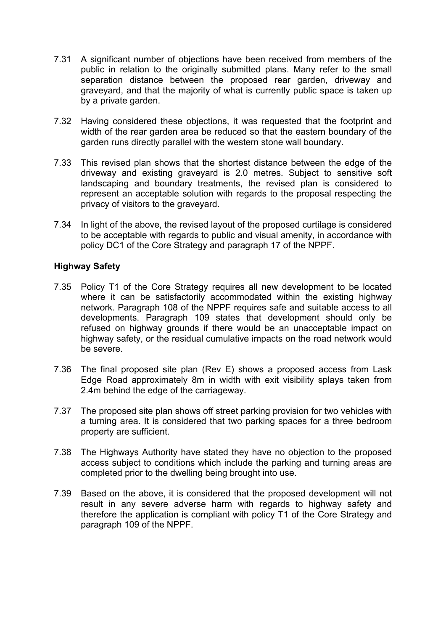- 7.31 A significant number of objections have been received from members of the public in relation to the originally submitted plans. Many refer to the small separation distance between the proposed rear garden, driveway and graveyard, and that the majority of what is currently public space is taken up by a private garden.
- 7.32 Having considered these objections, it was requested that the footprint and width of the rear garden area be reduced so that the eastern boundary of the garden runs directly parallel with the western stone wall boundary.
- 7.33 This revised plan shows that the shortest distance between the edge of the driveway and existing graveyard is 2.0 metres. Subject to sensitive soft landscaping and boundary treatments, the revised plan is considered to represent an acceptable solution with regards to the proposal respecting the privacy of visitors to the graveyard.
- 7.34 In light of the above, the revised layout of the proposed curtilage is considered to be acceptable with regards to public and visual amenity, in accordance with policy DC1 of the Core Strategy and paragraph 17 of the NPPF.

## **Highway Safety**

- 7.35 Policy T1 of the Core Strategy requires all new development to be located where it can be satisfactorily accommodated within the existing highway network. Paragraph 108 of the NPPF requires safe and suitable access to all developments. Paragraph 109 states that development should only be refused on highway grounds if there would be an unacceptable impact on highway safety, or the residual cumulative impacts on the road network would be severe.
- 7.36 The final proposed site plan (Rev E) shows a proposed access from Lask Edge Road approximately 8m in width with exit visibility splays taken from 2.4m behind the edge of the carriageway.
- 7.37 The proposed site plan shows off street parking provision for two vehicles with a turning area. It is considered that two parking spaces for a three bedroom property are sufficient.
- 7.38 The Highways Authority have stated they have no objection to the proposed access subject to conditions which include the parking and turning areas are completed prior to the dwelling being brought into use.
- 7.39 Based on the above, it is considered that the proposed development will not result in any severe adverse harm with regards to highway safety and therefore the application is compliant with policy T1 of the Core Strategy and paragraph 109 of the NPPF.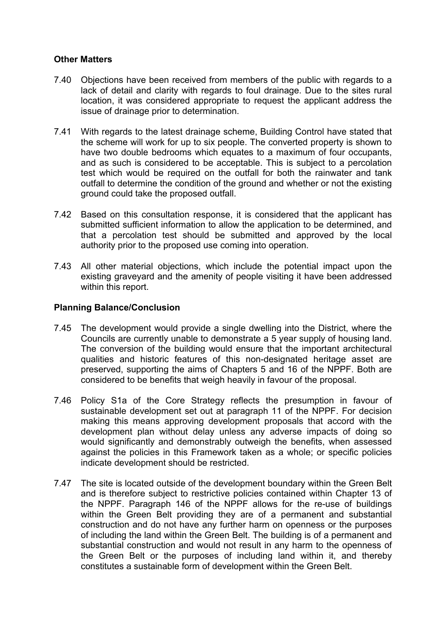## **Other Matters**

- 7.40 Objections have been received from members of the public with regards to a lack of detail and clarity with regards to foul drainage. Due to the sites rural location, it was considered appropriate to request the applicant address the issue of drainage prior to determination.
- 7.41 With regards to the latest drainage scheme, Building Control have stated that the scheme will work for up to six people. The converted property is shown to have two double bedrooms which equates to a maximum of four occupants, and as such is considered to be acceptable. This is subject to a percolation test which would be required on the outfall for both the rainwater and tank outfall to determine the condition of the ground and whether or not the existing ground could take the proposed outfall.
- 7.42 Based on this consultation response, it is considered that the applicant has submitted sufficient information to allow the application to be determined, and that a percolation test should be submitted and approved by the local authority prior to the proposed use coming into operation.
- 7.43 All other material objections, which include the potential impact upon the existing graveyard and the amenity of people visiting it have been addressed within this report.

## **Planning Balance/Conclusion**

- 7.45 The development would provide a single dwelling into the District, where the Councils are currently unable to demonstrate a 5 year supply of housing land. The conversion of the building would ensure that the important architectural qualities and historic features of this non-designated heritage asset are preserved, supporting the aims of Chapters 5 and 16 of the NPPF. Both are considered to be benefits that weigh heavily in favour of the proposal.
- 7.46 Policy S1a of the Core Strategy reflects the presumption in favour of sustainable development set out at paragraph 11 of the NPPF. For decision making this means approving development proposals that accord with the development plan without delay unless any adverse impacts of doing so would significantly and demonstrably outweigh the benefits, when assessed against the policies in this Framework taken as a whole; or specific policies indicate development should be restricted.
- 7.47 The site is located outside of the development boundary within the Green Belt and is therefore subject to restrictive policies contained within Chapter 13 of the NPPF. Paragraph 146 of the NPPF allows for the re-use of buildings within the Green Belt providing they are of a permanent and substantial construction and do not have any further harm on openness or the purposes of including the land within the Green Belt. The building is of a permanent and substantial construction and would not result in any harm to the openness of the Green Belt or the purposes of including land within it, and thereby constitutes a sustainable form of development within the Green Belt.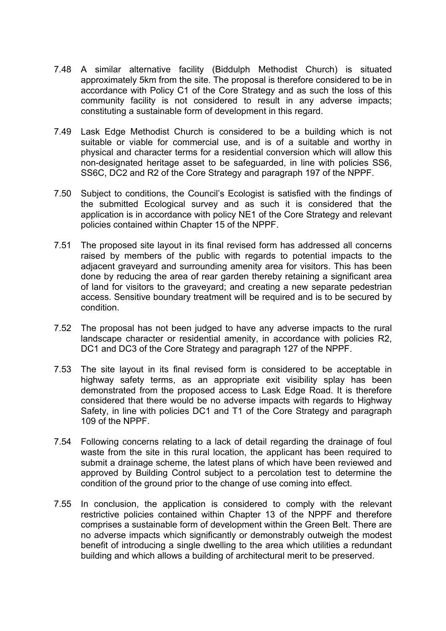- 7.48 A similar alternative facility (Biddulph Methodist Church) is situated approximately 5km from the site. The proposal is therefore considered to be in accordance with Policy C1 of the Core Strategy and as such the loss of this community facility is not considered to result in any adverse impacts; constituting a sustainable form of development in this regard.
- 7.49 Lask Edge Methodist Church is considered to be a building which is not suitable or viable for commercial use, and is of a suitable and worthy in physical and character terms for a residential conversion which will allow this non-designated heritage asset to be safeguarded, in line with policies SS6, SS6C, DC2 and R2 of the Core Strategy and paragraph 197 of the NPPF.
- 7.50 Subject to conditions, the Council's Ecologist is satisfied with the findings of the submitted Ecological survey and as such it is considered that the application is in accordance with policy NE1 of the Core Strategy and relevant policies contained within Chapter 15 of the NPPF.
- 7.51 The proposed site layout in its final revised form has addressed all concerns raised by members of the public with regards to potential impacts to the adjacent graveyard and surrounding amenity area for visitors. This has been done by reducing the area of rear garden thereby retaining a significant area of land for visitors to the graveyard; and creating a new separate pedestrian access. Sensitive boundary treatment will be required and is to be secured by condition.
- 7.52 The proposal has not been judged to have any adverse impacts to the rural landscape character or residential amenity, in accordance with policies R2, DC1 and DC3 of the Core Strategy and paragraph 127 of the NPPF.
- 7.53 The site layout in its final revised form is considered to be acceptable in highway safety terms, as an appropriate exit visibility splay has been demonstrated from the proposed access to Lask Edge Road. It is therefore considered that there would be no adverse impacts with regards to Highway Safety, in line with policies DC1 and T1 of the Core Strategy and paragraph 109 of the NPPF.
- 7.54 Following concerns relating to a lack of detail regarding the drainage of foul waste from the site in this rural location, the applicant has been required to submit a drainage scheme, the latest plans of which have been reviewed and approved by Building Control subject to a percolation test to determine the condition of the ground prior to the change of use coming into effect.
- 7.55 In conclusion, the application is considered to comply with the relevant restrictive policies contained within Chapter 13 of the NPPF and therefore comprises a sustainable form of development within the Green Belt. There are no adverse impacts which significantly or demonstrably outweigh the modest benefit of introducing a single dwelling to the area which utilities a redundant building and which allows a building of architectural merit to be preserved.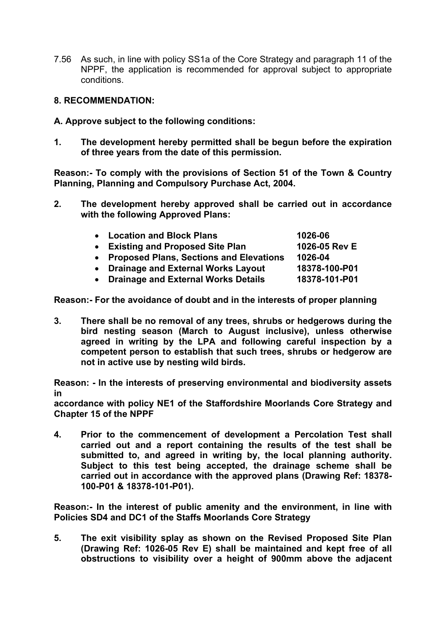7.56 As such, in line with policy SS1a of the Core Strategy and paragraph 11 of the NPPF, the application is recommended for approval subject to appropriate conditions.

#### **8. RECOMMENDATION:**

- **A. Approve subject to the following conditions:**
- **1. The development hereby permitted shall be begun before the expiration of three years from the date of this permission.**

**Reason:- To comply with the provisions of Section 51 of the Town & Country Planning, Planning and Compulsory Purchase Act, 2004.**

**2. The development hereby approved shall be carried out in accordance with the following Approved Plans:**

| • Location and Block Plans                | 1026-06       |
|-------------------------------------------|---------------|
| • Existing and Proposed Site Plan         | 1026-05 Rev E |
| • Proposed Plans, Sections and Elevations | 1026-04       |
| • Drainage and External Works Layout      | 18378-100-P01 |
| • Drainage and External Works Details     | 18378-101-P01 |

**Reason:- For the avoidance of doubt and in the interests of proper planning**

**3. There shall be no removal of any trees, shrubs or hedgerows during the bird nesting season (March to August inclusive), unless otherwise agreed in writing by the LPA and following careful inspection by a competent person to establish that such trees, shrubs or hedgerow are not in active use by nesting wild birds.**

**Reason: - In the interests of preserving environmental and biodiversity assets in**

**accordance with policy NE1 of the Staffordshire Moorlands Core Strategy and Chapter 15 of the NPPF**

**4. Prior to the commencement of development a Percolation Test shall carried out and a report containing the results of the test shall be submitted to, and agreed in writing by, the local planning authority. Subject to this test being accepted, the drainage scheme shall be carried out in accordance with the approved plans (Drawing Ref: 18378- 100-P01 & 18378-101-P01).**

**Reason:- In the interest of public amenity and the environment, in line with Policies SD4 and DC1 of the Staffs Moorlands Core Strategy**

**5. The exit visibility splay as shown on the Revised Proposed Site Plan (Drawing Ref: 1026-05 Rev E) shall be maintained and kept free of all obstructions to visibility over a height of 900mm above the adjacent**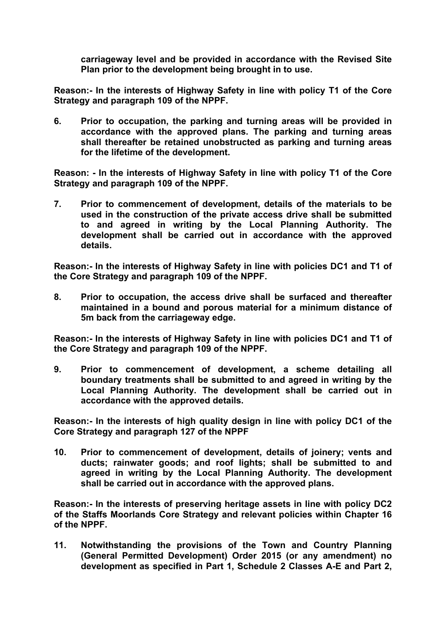**carriageway level and be provided in accordance with the Revised Site Plan prior to the development being brought in to use.**

**Reason:- In the interests of Highway Safety in line with policy T1 of the Core Strategy and paragraph 109 of the NPPF.**

**6. Prior to occupation, the parking and turning areas will be provided in accordance with the approved plans. The parking and turning areas shall thereafter be retained unobstructed as parking and turning areas for the lifetime of the development.**

**Reason: - In the interests of Highway Safety in line with policy T1 of the Core Strategy and paragraph 109 of the NPPF.**

**7. Prior to commencement of development, details of the materials to be used in the construction of the private access drive shall be submitted to and agreed in writing by the Local Planning Authority. The development shall be carried out in accordance with the approved details.**

**Reason:- In the interests of Highway Safety in line with policies DC1 and T1 of the Core Strategy and paragraph 109 of the NPPF.**

**8. Prior to occupation, the access drive shall be surfaced and thereafter maintained in a bound and porous material for a minimum distance of 5m back from the carriageway edge.**

**Reason:- In the interests of Highway Safety in line with policies DC1 and T1 of the Core Strategy and paragraph 109 of the NPPF.**

**9. Prior to commencement of development, a scheme detailing all boundary treatments shall be submitted to and agreed in writing by the Local Planning Authority. The development shall be carried out in accordance with the approved details.**

**Reason:- In the interests of high quality design in line with policy DC1 of the Core Strategy and paragraph 127 of the NPPF**

**10. Prior to commencement of development, details of joinery; vents and ducts; rainwater goods; and roof lights; shall be submitted to and agreed in writing by the Local Planning Authority. The development shall be carried out in accordance with the approved plans.**

**Reason:- In the interests of preserving heritage assets in line with policy DC2 of the Staffs Moorlands Core Strategy and relevant policies within Chapter 16 of the NPPF.**

**11. Notwithstanding the provisions of the Town and Country Planning (General Permitted Development) Order 2015 (or any amendment) no development as specified in Part 1, Schedule 2 Classes A-E and Part 2,**